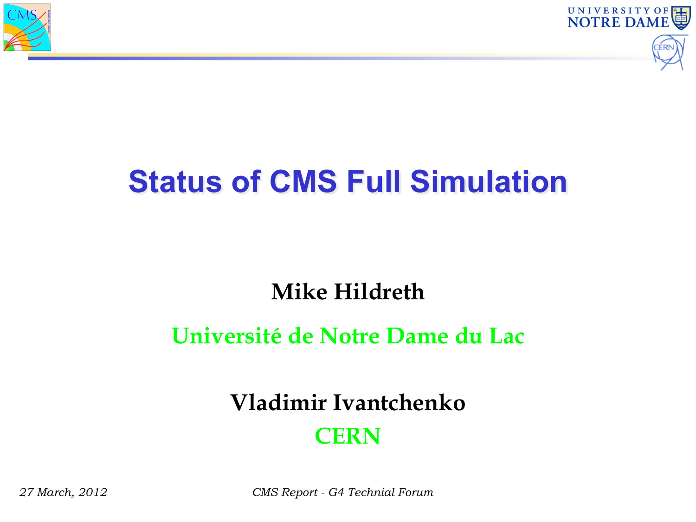



# **Status of CMS Full Simulation**

#### **Mike Hildreth**

#### **Université de Notre Dame du Lac**

#### **Vladimir Ivantchenko CERN**

*27 March, 2012 CMS Report - G4 Technial Forum*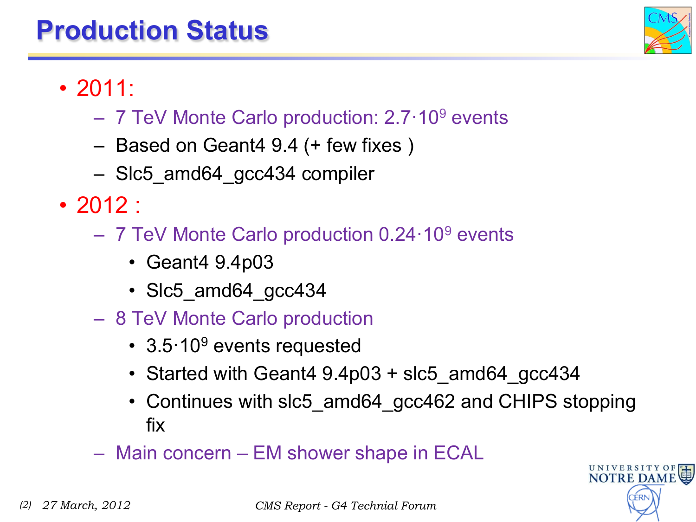### **Production Status**



UNIVERSITY O<br>NOTRE DAM

- 2011:
	- 7 TeV Monte Carlo production: 2.7·109 events
	- Based on Geant4 9.4 (+ few fixes )
	- Slc5\_amd64\_gcc434 compiler
- 2012 :
	- 7 TeV Monte Carlo production 0.24·109 events
		- Geant4 9.4p03
		- Slc5 amd64 gcc434
	- 8 TeV Monte Carlo production
		- 3.5 10<sup>9</sup> events requested
		- Started with Geant4 9.4p03 + slc5\_amd64\_gcc434
		- Continues with slc5 amd64 gcc462 and CHIPS stopping fix
	- Main concern EM shower shape in ECAL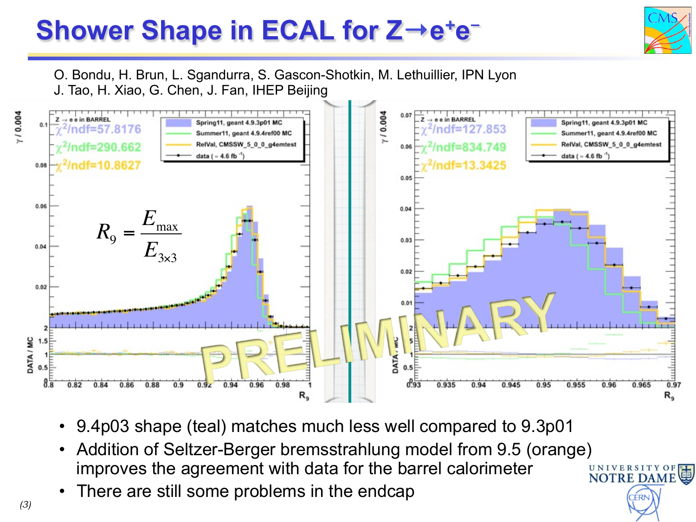## **Shower Shape in ECAL for Z→e+e**-!



O. Bondu, H. Brun, L. Sgandurra, S. Gascon-Shotkin, M. Lethuillier, IPN Lyon<br>J. Tao. H. Xiao. G. Chen. J. Fan. IHEP Beiiing J. Tao, H. Xiao, G. Chen, J. Fan, IHEP Beijing



- 9.4p03 shape (teal) matches much less well compared to 9.3p01
- Addition of Seltzer-Berger bremsstrahlung model from 9.5 (orange)<br>improves the agreement with data for the barrel calorimeter improves the agreement with data for the barrel calorimeter **NOTRE DAM**
- There are still some problems in the endcap